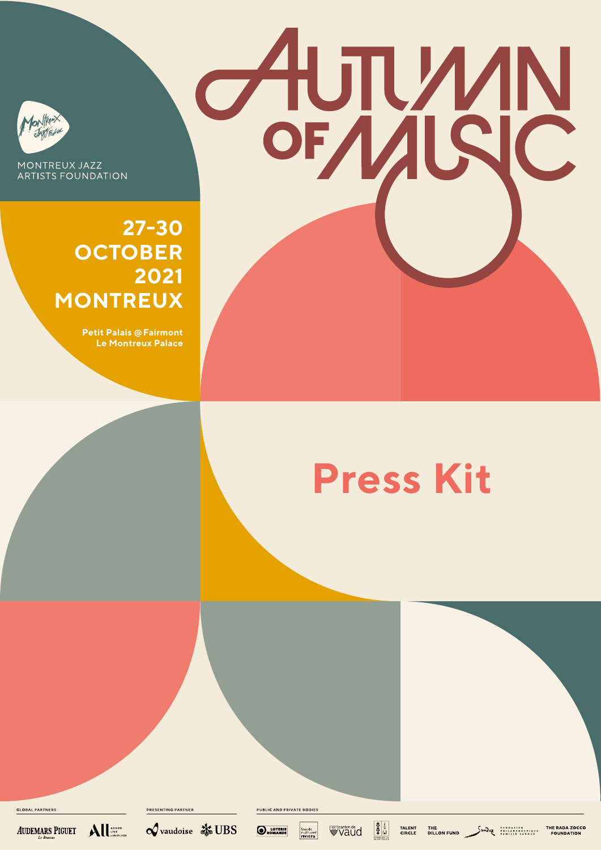

MONTREUX JAZZ **ARTISTS FOUNDATION** 

> **27-30 OCTOBER 2021 MONTREUX**

> > **Petit Palais @ Fairmont Le Montreux Palace**

# **Press Kit**

**AUTWAN** 

**GLOBAL PARTNERS** 



 $\mathbf{A}\mathbf{II}$ 

 $\mathcal Q$  vaudoise  $\mathcal X$  UBS

**PRESENTING PARTNER** 

**PUBLIC AND PRIVATE BODIE!** 

**O**ROMANDE

fonds<br>culturel<br>riviera **Waud**   $\frac{3}{2}$ 

TALENT<br>CIRCLE **THE RADA ZOCCO**<br>DILLON FUND **DILLON FOUNDATION**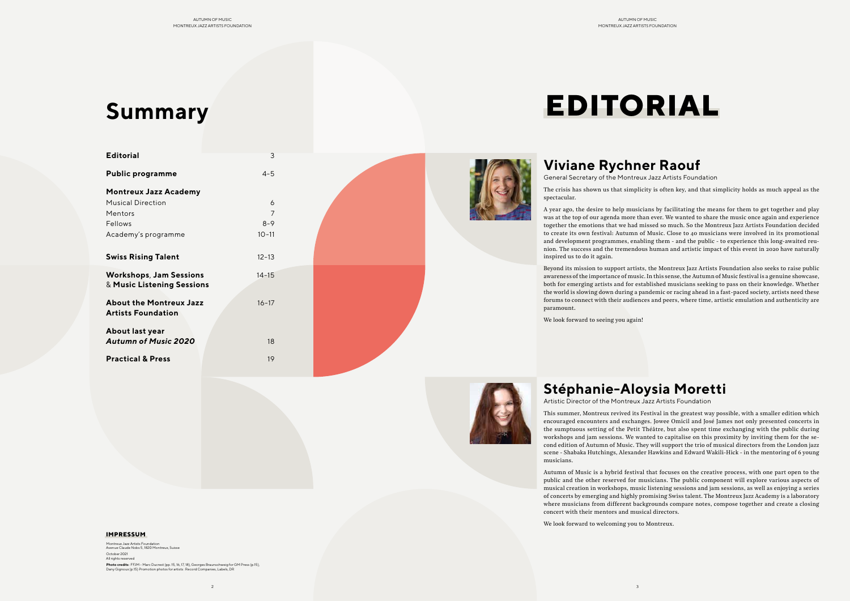

| <b>Editorial</b>                                             | 3         |  |
|--------------------------------------------------------------|-----------|--|
| <b>Public programme</b>                                      | $4 - 5$   |  |
| <b>Montreux Jazz Academy</b>                                 |           |  |
| <b>Musical Direction</b>                                     | 6         |  |
| Mentors                                                      | 7         |  |
| Fellows                                                      | $8 - 9$   |  |
| Academy's programme                                          | $10 - 11$ |  |
| <b>Swiss Rising Talent</b>                                   | $12 - 13$ |  |
| <b>Workshops, Jam Sessions</b><br>& Music Listening Sessions | $14 - 15$ |  |
| <b>About the Montreux Jazz</b><br><b>Artists Foundation</b>  | $16 - 17$ |  |
| About last year<br><b>Autumn of Music 2020</b>               | 18        |  |
| <b>Practical &amp; Press</b>                                 | 19        |  |



# **Viviane Rychner Raouf**

General Secretary of the Montreux Jazz Artists Foundation

The crisis has shown us that simplicity is often key, and that simplicity holds as much appeal as the

spectacular.

A year ago, the desire to help musicians by facilitating the means for them to get together and play was at the top of our agenda more than ever. We wanted to share the music once again and experience together the emotions that we had missed so much. So the Montreux Jazz Artists Foundation decided to create its own festival: Autumn of Music. Close to 40 musicians were involved in its promotional and development programmes, enabling them - and the public - to experience this long-awaited reunion. The success and the tremendous human and artistic impact of this event in 2020 have naturally inspired us to do it again.

Beyond its mission to support artists, the Montreux Jazz Artists Foundation also seeks to raise public awareness of the importance of music. In this sense, the Autumn of Music festival is a genuine showcase, both for emerging artists and for established musicians seeking to pass on their knowledge. Whether the world is slowing down during a pandemic or racing ahead in a fast-paced society, artists need these forums to connect with their audiences and peers, where time, artistic emulation and authenticity are paramount.

Montreux Jazz Artists Foundat Avenue Claude Nobs 5, 1820 Montreux, Suisse October 2021 All rights reserved **Photo credits** : FFJM - Marc Ducrest (pp. 15, 16, 17, 18), Georges Braunschweig for GM Press (p.15), Dany Gignoux (p.15) Promotion photos for artists : Record Companies, Labels, DR We look forward to seeing you again!



# **Stéphanie-Aloysia Moretti**

Artistic Director of the Montreux Jazz Artists Foundation

This summer, Montreux revived its Festival in the greatest way possible, with a smaller edition which encouraged encounters and exchanges. Jowee Omicil and José James not only presented concerts in the sumptuous setting of the Petit Théâtre, but also spent time exchanging with the public during workshops and jam sessions. We wanted to capitalise on this proximity by inviting them for the second edition of Autumn of Music. They will support the trio of musical directors from the London jazz scene - Shabaka Hutchings, Alexander Hawkins and Edward Wakili-Hick - in the mentoring of 6 young musicians.

Autumn of Music is a hybrid festival that focuses on the creative process, with one part open to the public and the other reserved for musicians. The public component will explore various aspects of musical creation in workshops, music listening sessions and jam sessions, as well as enjoying a series of concerts by emerging and highly promising Swiss talent. The Montreux Jazz Academy is a laboratory where musicians from different backgrounds compare notes, compose together and create a closing concert with their mentors and musical directors.

We look forward to welcoming you to Montreux.

#### **IMPRESSUM**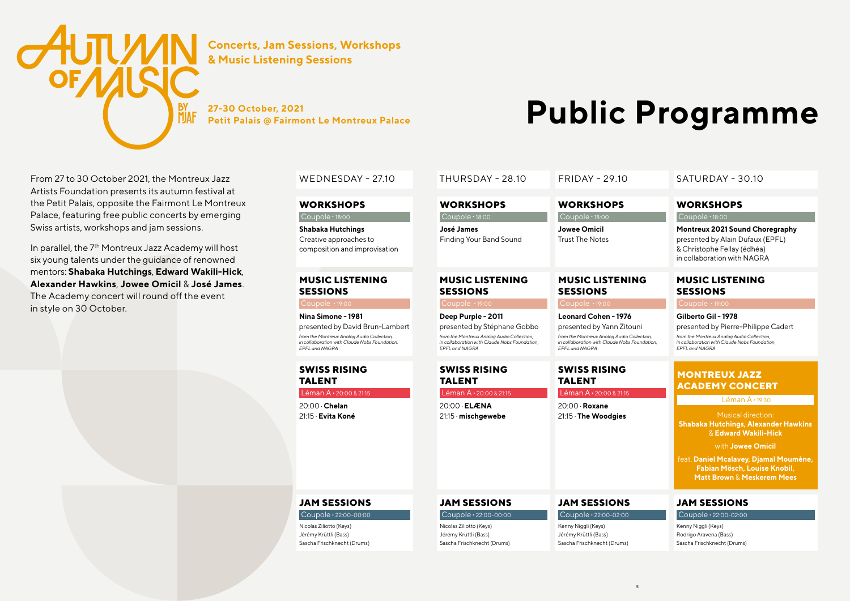# **JAM SESSIONS**

Coupole **.** 22:00-02:00

Kenny Niggli (Keys) Rodrigo Aravena (Bass) Sascha Frischknecht (Drums)

# **JAM SESSIONS**

# Coupole **.** 22:00-02:00

Kenny Niggli (Keys) Jérémy Krüttli (Bass) Sascha Frischknecht (Drums)



# **JAM SESSIONS**

### Coupole **.** 22:00-00:00

Nicolas Ziliotto (Keys) Jérémy Krüttli (Bass) Sascha Frischknecht (Drums)

### **JAM SESSIONS**

### Coupole **.** 22:00-00:00

Nicolas Ziliotto (Keys) Jérémy Krüttli (Bass) Sascha Frischknecht (Drums) **Deep Purple - 2011** presented by Stéphane Gobbo *from the Montreux Analog Audio Collection, in collaboration with Claude Nobs Foundation, EPFL and NAGRA*

**Leonard Cohen - 1976** 

presented by Yann Zitouni *from the Montreux Analog Audio Collection, in collaboration with Claude Nobs Foundation, EPFL and NAGRA*

# **MUSIC LISTENING SESSIONS**

**27-30 October, 2021 Public ProgramMe** 

### Coupole **.** 19:00

#### **Gilberto Gil - 1978**

presented by Pierre-Philippe Cadert

*from the Montreux Analog Audio Collection, in collaboration with Claude Nobs Foundation, EPFL and NAGRA*

## **MUSIC LISTENING SESSIONS**

Coupole **.** 19:00

**Nina Simone - 1981** presented by David Brun-Lambert *from the Montreux Analog Audio Collection, in collaboration with Claude Nobs Foundation, EPFL and NAGRA*

# **SWISS RISING TALENT**

In parallel, the 7<sup>th</sup> Montreux Jazz Academy will host six young talents under the guidance of renowned mentors: **Shabaka Hutchings**, **Edward Wakili-Hick**, **Alexander Hawkins**, **Jowee Omicil** & **José James**. The Academy concert will round off the event in style on 30 October.

Léman A **.** 20:00 & 21:15

20:00 . **Chelan** 21:15 . **Evita Koné**

### **SWISS RISING TALENT**

Léman A **.** 20:00 & 21:15

20:00 . **ELÆNA** 21:15 . **mischgewebe**

### **SWISS RISING TALENT**

Léman A **.** 20:00 & 21:15

20:00 . **Roxane** 21:15 . **The Woodgies**

## WEDNESDAY - 27.10 THURSDAY - 28.10 FRIDAY - 29.10 SATURDAY - 30.10

### **WORKSHOPS**

#### Coupole **.** 18:00

| <b>WORKSHOPS</b>                             | <b>WORKSHOPS</b>                              |
|----------------------------------------------|-----------------------------------------------|
| Coupole $\cdot$ 18:00                        | Coupole $\cdot$ 18:00                         |
| José James<br><b>Finding Your Band Sound</b> | <b>Jowee Omicil</b><br><b>Trust The Notes</b> |
| <b>MUSIC LISTENING</b><br><b>SESSIONS</b>    | <b>MUSIC LISTEN</b><br><b>SESSIONS</b>        |
| Coupole · 19:00                              | Coupole · 19:00                               |
| <b>Dean Dunnels 19011</b>                    | المصطحات المعصوصات                            |

# **LISTENING SKC**

**Montreux 2021 Sound Choregraphy** presented by Alain Dufaux (EPFL) & Christophe Fellay (édhéa) in collaboration with NAGRA

# **MONTREUX JAZZ ACADEMY CONCERT**

Léman A **.** 19:30

Musical direction: **Shabaka Hutchings, Alexander Hawkins**  & **Edward Wakili-Hick**

with **Jowee Omicil** 

feat. **Daniel Mcalavey, Djamal Moumène, Fabian Mösch, Louise Knobil, Matt Brown** & **Meskerem Mees**

From 27 to 30 October 2021, the Montreux Jazz Artists Foundation presents its autumn festival at the Petit Palais, opposite the Fairmont Le Montreux Palace, featuring free public concerts by emerging Swiss artists, workshops and jam sessions.



**Concerts, Jam Sessions, Workshops & Music Listening Sessions**

#### **WORKSHOPS**

Coupole **.** 18:00 **Shabaka Hutchings** Creative approaches to composition and improvisation

5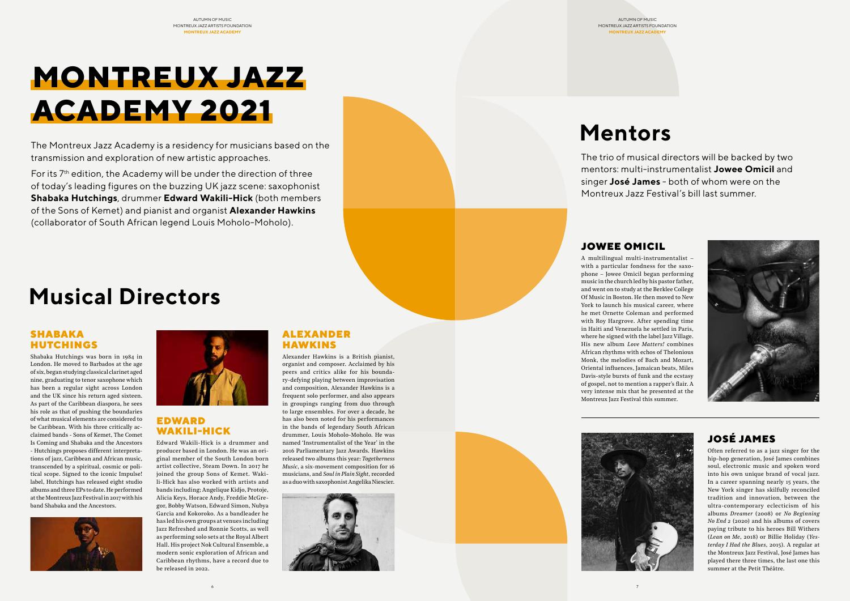## ALEXANDER HAWKINS

Alexander Hawkins is a British pianist, organist and composer. Acclaimed by his peers and critics alike for his boundary-defying playing between improvisation and composition, Alexander Hawkins is a frequent solo performer, and also appears in groupings ranging from duo through to large ensembles. For over a decade, he has also been noted for his performances in the bands of legendary South African drummer, Louis Moholo-Moholo. He was named 'Instrumentalist of the Year' in the 2016 Parliamentary Jazz Awards. Hawkins released two albums this year: *Togetherness Music*, a six-movement composition for 16 musicians, and *Soul in Plain Sight*, recorded as a duo with saxophonist Angelika Niescier.





For its 7<sup>th</sup> edition, the Academy will be under the direction of three of today's leading figures on the buzzing UK jazz scene: saxophonist **Shabaka Hutchings**, drummer **Edward Wakili-Hick** (both members of the Sons of Kemet) and pianist and organist **Alexander Hawkins** (collaborator of South African legend Louis Moholo-Moholo).

# **MONTREUX JAZZ ACADEMY 2021**



# **Mentors**

The Montreux Jazz Academy is a residency for musicians based on the transmission and exploration of new artistic approaches.

The trio of musical directors will be backed by two mentors: multi-instrumentalist **Jowee Omicil** and singer **José James** - both of whom were on the Montreux Jazz Festival's bill last summer.

## SHABAKA HUTCHINGS

Shabaka Hutchings was born in 1984 in London. He moved to Barbados at the age of six, began studying classical clarinet aged nine, graduating to tenor saxophone which has been a regular sight across London and the UK since his return aged sixteen. As part of the Caribbean diaspora, he sees his role as that of pushing the boundaries of what musical elements are considered to be Caribbean. With his three critically acclaimed bands - Sons of Kemet, The Comet Is Coming and Shabaka and the Ancestors - Hutchings proposes different interpretations of jazz, Caribbean and African music, transcended by a spiritual, cosmic or political scope. Signed to the iconic Impulse! label, Hutchings has released eight studio albums and three EPs to date. He performed at the Montreux Jazz Festival in 2017 with his band Shabaka and the Ancestors.





# EDWARD WAKILI-HICK

Edward Wakili-Hick is a drummer and producer based in London. He was an original member of the South London born artist collective, Steam Down. In 2017 he joined the group Sons of Kemet. Wakili-Hick has also worked with artists and bands including; Angelique Kidjo, Protoje, Alicia Keys, Horace Andy, Freddie McGregor, Bobby Watson, Edward Simon, Nubya Garcia and Kokoroko. As a bandleader he has led his own groups at venues including Jazz Refreshed and Ronnie Scotts, as well as performing solo sets at the Royal Albert Hall. His project Nok Cultural Ensemble, a modern sonic exploration of African and

Caribbean rhythms, have a record due to

be released in 2022.

# JOSÉ JAMES

Often referred to as a jazz singer for the hip-hop generation, José James combines soul, electronic music and spoken word into his own unique brand of vocal jazz. In a career spanning nearly 15 years, the New York singer has skilfully reconciled tradition and innovation, between the ultra-contemporary eclecticism of his albums *Dreamer* (2008) or *No Beginning No End 2* (2020) and his albums of covers paying tribute to his heroes Bill Withers (*Lean on Me*, 2018) or Billie Holiday (*Yesterday I Had the Blues*, 2015). A regular at the Montreux Jazz Festival, José James has played there three times, the last one this summer at the Petit Théâtre.

# JOWEE OMICIL

A multilingual multi-instrumentalist –





with a particular fondness for the saxophone – Jowee Omicil began performing music in the church led by his pastor father, and went on to study at the Berklee College Of Music in Boston. He then moved to New York to launch his musical career, where he met Ornette Coleman and performed with Roy Hargrove. After spending time in Haiti and Venezuela he settled in Paris, where he signed with the label Jazz Village. His new album *Love Matters!* combines African rhythms with echos of Thelonious Monk, the melodies of Bach and Mozart, Oriental influences, Jamaican beats, Miles Davis-style bursts of funk and the ecstasy of gospel, not to mention a rapper's flair. A very intense mix that he presented at the Montreux Jazz Festival this summer.

#### AUTUMN OF MUSIC MONTREUX JAZZ ARTISTS FOUNDATION

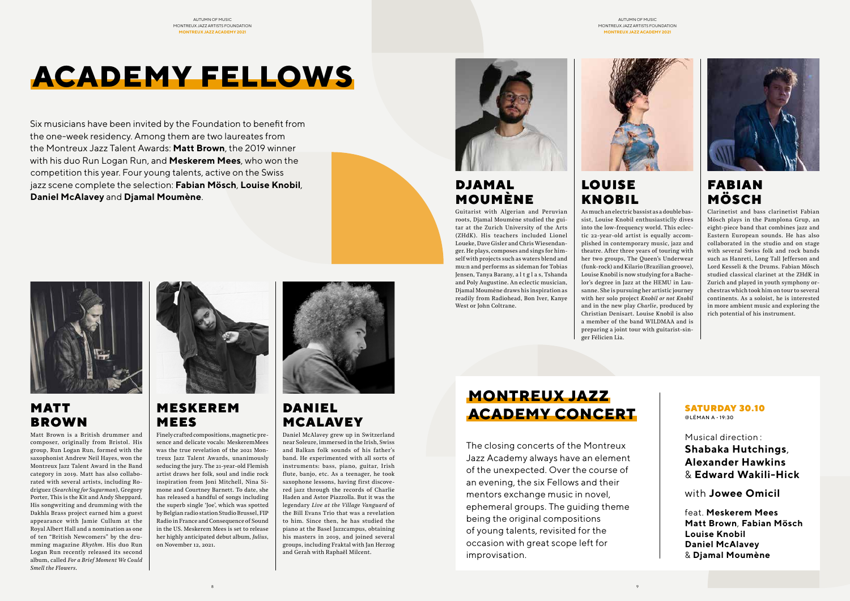Six musicians have been invited by the Foundation to benefit from the one-week residency. Among them are two laureates from the Montreux Jazz Talent Awards: **Matt Brown**, the 2019 winner with his duo Run Logan Run, and **Meskerem Mees**, who won the competition this year. Four young talents, active on the Swiss jazz scene complete the selection: **Fabian Mösch**, **Louise Knobil**, **Daniel McAlavey** and **Djamal Moumène**.



# LOUISE KNOBIL

As much an electric bassist as a double bassist, Louise Knobil enthusiasticlly dives into the low-frequency world. This eclectic 22-year-old artist is equally accomplished in contemporary music, jazz and theatre. After three years of touring with her two groups, The Queen's Underwear (funk-rock) and Kilario (Brazilian groove), Louise Knobil is now studying for a Bachelor's degree in Jazz at the HEMU in Lausanne. She is pursuing her artistic journey with her solo project *Knobil or not Knobil*  and in the new play *Charlie*, produced by Christian Denisart. Louise Knobil is also a member of the band WILDMAA and is preparing a joint tour with guitarist-singer Félicien Lia.



# MATT BROWN

Matt Brown is a British drummer and composer, originally from Bristol. His group, Run Logan Run, formed with the saxophonist Andrew Neil Hayes, won the Montreux Jazz Talent Award in the Band category in 2019. Matt has also collaborated with several artists, including Rodriguez (*Searching for Sugarman*), Gregory Porter, This is the Kit and Andy Sheppard. His songwriting and drumming with the Dakhla Brass project earned him a guest appearance with Jamie Cullum at the Royal Albert Hall and a nomination as one of ten "British Newcomers" by the drumming magazine *Rhythm*. His duo Run Logan Run recently released its second album, called *For a Brief Moment We Could Smell the Flowers*.



# FABIAN MÖSCH

Clarinetist and bass clarinetist Fabian Mösch plays in the Pamplona Grup, an eight-piece band that combines jazz and Eastern European sounds. He has also collaborated in the studio and on stage with several Swiss folk and rock bands such as Hanreti, Long Tall Jefferson and Lord Kesseli & the Drums. Fabian Mösch studied classical clarinet at the ZHdK in Zurich and played in youth symphony orchestras which took him on tour to several continents. As a soloist, he is interested in more ambient music and exploring the rich potential of his instrument.

# MESKEREM MEES

Finely crafted compositions, magnetic presence and delicate vocals: MeskeremMees was the true revelation of the 2021 Montreux Jazz Talent Awards, unanimously seducing the jury. The 21-year-old Flemish artist draws her folk, soul and indie rock inspiration from Joni Mitchell, Nina Simone and Courtney Barnett. To date, she has released a handful of songs including the superb single 'Joe', which was spotted by Belgian radio station Studio Brussel, FIP Radio in France and Consequence of Sound in the US. Meskerem Mees is set to release her highly anticipated debut album, *Julius*, on November 12, 2021.



# DJAMAL MOUMÈNE

Guitarist with Algerian and Peruvian roots, Djamal Moumène studied the guitar at the Zurich University of the Arts (ZHdK). His teachers included Lionel Loueke, Dave Gisler and Chris Wiesendanger. He plays, composes and sings for himself with projects such as waters blend and mu:n and performs as sideman for Tobias Jensen, Tanya Barany, a l t g l a s, Tshanda and Poly Augustine. An eclectic musician, Djamal Moumène draws his inspiration as readily from Radiohead, Bon Iver, Kanye West or John Coltrane.



# DANIEL MCALAVEY

Daniel McAlavey grew up in Switzerland near Soleure, immersed in the Irish, Swiss and Balkan folk sounds of his father's band. He experimented with all sorts of instruments: bass, piano, guitar, Irish flute, banjo, etc. As a teenager, he took saxophone lessons, having first discovered jazz through the records of Charlie Haden and Astor Piazzolla. But it was the legendary *Live at the Village Vanguard* of the Bill Evans Trio that was a revelation to him. Since then, he has studied the piano at the Basel Jazzcampus, obtaining his masters in 2019, and joined several groups, including Fraktal with Jan Herzog and Gerah with Raphaël Milcent.

# **ACADEMY FELLOWS**

Musical direction : **Shabaka Hutchings**, **Alexander Hawkins**  & **Edward Wakili-Hick**

with **Jowee Omicil**

feat. **Meskerem Mees Matt Brown**, **Fabian Mösch Louise Knobil Daniel McAlavey**  & **Djamal Moumène**

#### SATURDAY 30.10 @LÉMAN A **.** 19:30

The closing concerts of the Montreux Jazz Academy always have an element of the unexpected. Over the course of an evening, the six Fellows and their mentors exchange music in novel, ephemeral groups. The guiding theme being the original compositions of young talents, revisited for the occasion with great scope left for improvisation.

# **MONTREUX JAZZ ACADEMY CONCERT**



AUTUMN OF MUSIC MONTREUX JAZZ ARTISTS FOUNDATION **MONTREUX JAZZ ACADEMY 2021**

AUTUMN OF MUSIC MONTREUX JAZZ ARTISTS FOUNDATION **MONTREUX JAZZ ACADEMY 2021**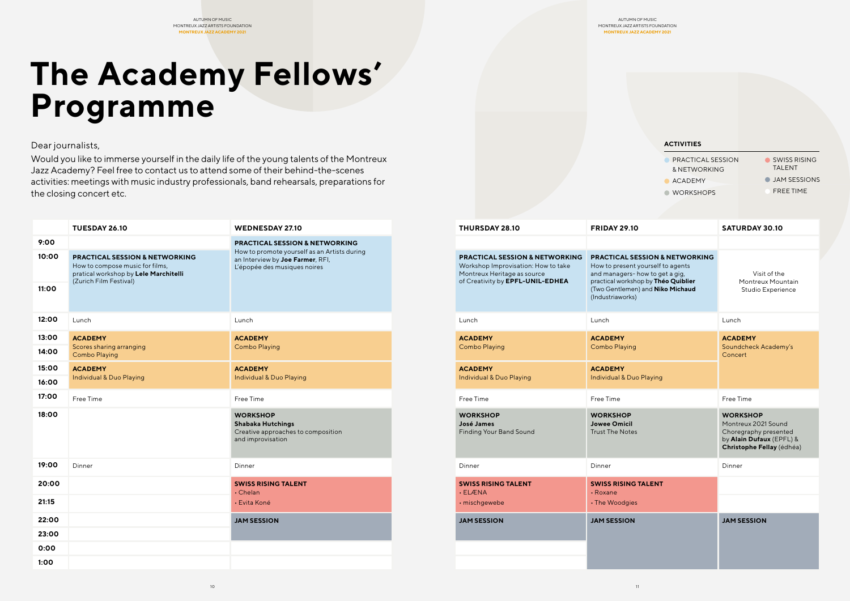| <b>Pyrammus</b>                                                                                                                                                           |                                                                                                                                                               |        |                                                                                                                                                     |                                                                                                                                                                                                                 |                                                                    |                                                                                                                          |  |
|---------------------------------------------------------------------------------------------------------------------------------------------------------------------------|---------------------------------------------------------------------------------------------------------------------------------------------------------------|--------|-----------------------------------------------------------------------------------------------------------------------------------------------------|-----------------------------------------------------------------------------------------------------------------------------------------------------------------------------------------------------------------|--------------------------------------------------------------------|--------------------------------------------------------------------------------------------------------------------------|--|
| halists,                                                                                                                                                                  |                                                                                                                                                               |        |                                                                                                                                                     | <b>ACTIVITIES</b>                                                                                                                                                                                               |                                                                    |                                                                                                                          |  |
| emy? Feel free to contact us to attend some of their behind-the-scenes<br>meetings with music industry professionals, band rehearsals, preparations for<br>g concert etc. | u like to immerse yourself in the daily life of the young talents of the Montreux                                                                             |        |                                                                                                                                                     |                                                                                                                                                                                                                 | PRACTICAL SESSION<br>& NETWORKING<br>ACADEMY<br><b>O</b> WORKSHOPS | SWISS RISING<br><b>TALENT</b><br><b>JAM SESSIONS</b><br>FREE TIME                                                        |  |
| <b>TUESDAY 26.10</b>                                                                                                                                                      | <b>WEDNESDAY 27.10</b>                                                                                                                                        |        | THURSDAY 28.10                                                                                                                                      | <b>FRIDAY 29.10</b>                                                                                                                                                                                             |                                                                    | <b>SATURDAY 30.10</b>                                                                                                    |  |
| <b>PRACTICAL SESSION &amp; NETWORKING</b><br>How to compose music for films,<br>pratical workshop by Lele Marchitelli<br>(Zurich Film Festival)                           | <b>PRACTICAL SESSION &amp; NETWORKING</b><br>How to promote yourself as an Artists during<br>an Interview by Joe Farmer, RFI,<br>L'épopée des musiques noires |        | <b>PRACTICAL SESSION &amp; NETWORKING</b><br>Workshop Improvisation: How to take<br>Montreux Heritage as source<br>of Creativity by EPFL-UNIL-EDHEA | <b>PRACTICAL SESSION &amp; NETWORKING</b><br>How to present yourself to agents<br>and managers-how to get a gig,<br>practical workshop by Théo Quiblier<br>(Two Gentlemen) and Niko Michaud<br>(Industriaworks) |                                                                    | Visit of the<br>Montreux Mountain<br><b>Studio Experience</b>                                                            |  |
| Lunch                                                                                                                                                                     | Lunch                                                                                                                                                         | Lunch  |                                                                                                                                                     | Lunch                                                                                                                                                                                                           |                                                                    | Lunch                                                                                                                    |  |
| <b>ACADEMY</b><br>Scores sharing arranging<br><b>Combo Playing</b>                                                                                                        | <b>ACADEMY</b><br><b>Combo Playing</b>                                                                                                                        |        | <b>ACADEMY</b><br><b>Combo Playing</b>                                                                                                              | <b>ACADEMY</b><br><b>Combo Playing</b>                                                                                                                                                                          |                                                                    | <b>ACADEMY</b><br>Soundcheck Academy's<br>Concert                                                                        |  |
| <b>ACADEMY</b><br><b>Individual &amp; Duo Playing</b>                                                                                                                     | <b>ACADEMY</b><br>Individual & Duo Playing                                                                                                                    |        | <b>ACADEMY</b><br>Individual & Duo Playing                                                                                                          | <b>ACADEMY</b><br><b>Individual &amp; Duo Playing</b>                                                                                                                                                           |                                                                    |                                                                                                                          |  |
| Free Time                                                                                                                                                                 | Free Time                                                                                                                                                     |        | Free Time                                                                                                                                           | Free Time                                                                                                                                                                                                       |                                                                    | Free Time                                                                                                                |  |
|                                                                                                                                                                           | <b>WORKSHOP</b><br><b>Shabaka Hutchings</b><br>Creative approaches to composition<br>and improvisation                                                        |        | <b>WORKSHOP</b><br>José James<br>Finding Your Band Sound                                                                                            | <b>WORKSHOP</b><br><b>Jowee Omicil</b><br><b>Trust The Notes</b>                                                                                                                                                |                                                                    | <b>WORKSHOP</b><br>Montreux 2021 Sound<br>Choregraphy presented<br>by Alain Dufaux (EPFL) &<br>Christophe Fellay (édhéa) |  |
| Dinner                                                                                                                                                                    | Dinner                                                                                                                                                        | Dinner |                                                                                                                                                     | Dinner                                                                                                                                                                                                          |                                                                    | Dinner                                                                                                                   |  |
|                                                                                                                                                                           | <b>SWISS RISING TALENT</b><br>. Chelan<br>• Evita Koné                                                                                                        |        | <b>SWISS RISING TALENT</b><br>· ELÆNA<br>· mischgewebe                                                                                              | <b>SWISS RISING TALENT</b><br>$\cdot$ Roxane<br>• The Woodgies                                                                                                                                                  |                                                                    |                                                                                                                          |  |
|                                                                                                                                                                           | <b>JAM SESSION</b>                                                                                                                                            |        | <b>JAM SESSION</b>                                                                                                                                  | <b>JAM SESSION</b>                                                                                                                                                                                              |                                                                    | <b>JAM SESSION</b>                                                                                                       |  |

|                | TUESDAY 26.10                                                                                                                                   | <b>WEDNESDAY 27.10</b>                                                                                           | THURSDAY 28.10                                                                                                                                      | <b>FRIDAY 29.10</b>                                                                                                                                                                                              | <b>SATURDAY 30.10</b>                                                                                                |
|----------------|-------------------------------------------------------------------------------------------------------------------------------------------------|------------------------------------------------------------------------------------------------------------------|-----------------------------------------------------------------------------------------------------------------------------------------------------|------------------------------------------------------------------------------------------------------------------------------------------------------------------------------------------------------------------|----------------------------------------------------------------------------------------------------------------------|
| 9:00           |                                                                                                                                                 | <b>PRACTICAL SESSION &amp; NETWORKING</b>                                                                        |                                                                                                                                                     |                                                                                                                                                                                                                  |                                                                                                                      |
| 10:00<br>11:00 | <b>PRACTICAL SESSION &amp; NETWORKING</b><br>How to compose music for films,<br>pratical workshop by Lele Marchitelli<br>(Zurich Film Festival) | How to promote yourself as an Artists during<br>an Interview by Joe Farmer, RFI,<br>L'épopée des musiques noires | <b>PRACTICAL SESSION &amp; NETWORKING</b><br>Workshop Improvisation: How to take<br>Montreux Heritage as source<br>of Creativity by EPFL-UNIL-EDHEA | <b>PRACTICAL SESSION &amp; NETWORKING</b><br>How to present yourself to agents<br>and managers- how to get a gig,<br>practical workshop by Théo Quiblier<br>(Two Gentlemen) and Niko Michaud<br>(Industriaworks) | Visit of the<br>Montreux Mountai<br>Studio Experience                                                                |
| 12:00          | Lunch                                                                                                                                           | Lunch                                                                                                            | Lunch                                                                                                                                               | Lunch                                                                                                                                                                                                            | Lunch                                                                                                                |
| 13:00<br>14:00 | <b>ACADEMY</b><br>Scores sharing arranging<br><b>Combo Playing</b>                                                                              | <b>ACADEMY</b><br><b>Combo Playing</b>                                                                           | <b>ACADEMY</b><br><b>Combo Playing</b>                                                                                                              | <b>ACADEMY</b><br><b>Combo Playing</b>                                                                                                                                                                           | <b>ACADEMY</b><br>Soundcheck Academy's<br>Concert                                                                    |
| 15:00<br>16:00 | <b>ACADEMY</b><br>Individual & Duo Playing                                                                                                      | <b>ACADEMY</b><br>Individual & Duo Playing                                                                       | <b>ACADEMY</b><br>Individual & Duo Playing                                                                                                          | <b>ACADEMY</b><br>Individual & Duo Playing                                                                                                                                                                       |                                                                                                                      |
| 17:00          | Free Time                                                                                                                                       | Free Time                                                                                                        | Free Time                                                                                                                                           | Free Time                                                                                                                                                                                                        | Free Time                                                                                                            |
| 18:00          |                                                                                                                                                 | <b>WORKSHOP</b><br><b>Shabaka Hutchings</b><br>Creative approaches to composition<br>and improvisation           | <b>WORKSHOP</b><br>José James<br><b>Finding Your Band Sound</b>                                                                                     | <b>WORKSHOP</b><br><b>Jowee Omicil</b><br><b>Trust The Notes</b>                                                                                                                                                 | <b>WORKSHOP</b><br>Montreux 2021 Sound<br>Choregraphy presented<br>by Alain Dufaux (EPFL)<br>Christophe Fellay (édhé |
| 19:00          | Dinner                                                                                                                                          | Dinner                                                                                                           | Dinner                                                                                                                                              | Dinner                                                                                                                                                                                                           | Dinner                                                                                                               |
| 20:00          |                                                                                                                                                 | <b>SWISS RISING TALENT</b><br>. Chelan                                                                           | <b>SWISS RISING TALENT</b><br>· ELÆNA                                                                                                               | <b>SWISS RISING TALENT</b><br>$\cdot$ Roxane                                                                                                                                                                     |                                                                                                                      |
| 21:15          |                                                                                                                                                 | • Evita Koné                                                                                                     | · mischgewebe                                                                                                                                       | • The Woodgies                                                                                                                                                                                                   |                                                                                                                      |
| 22:00<br>23:00 |                                                                                                                                                 | <b>JAM SESSION</b>                                                                                               | <b>JAM SESSION</b>                                                                                                                                  | <b>JAM SESSION</b>                                                                                                                                                                                               | <b>JAM SESSION</b>                                                                                                   |
| 0:00<br>1:00   |                                                                                                                                                 |                                                                                                                  |                                                                                                                                                     |                                                                                                                                                                                                                  |                                                                                                                      |

## Dear journalists,

Would you like to immerse yourself in the daily life of the young talents of the Montreux Jazz Academy? Feel free to contact us to attend some of their behind-the-scenes activities: meetings with music industry professionals, band rehearsals, preparations for the closing concert etc.

AUTUMN OF MUSIC MONTREUX JAZZ ARTISTS FOUNDATION **MONTREUX JAZZ ACADEMY 2021**

#### AUTUMN OF MUSIC MONTREUX JAZZ ARTISTS FOUNDATION **MONTREUX JAZZ ACADEMY 2021**

# **The Academy Fellows' Programme**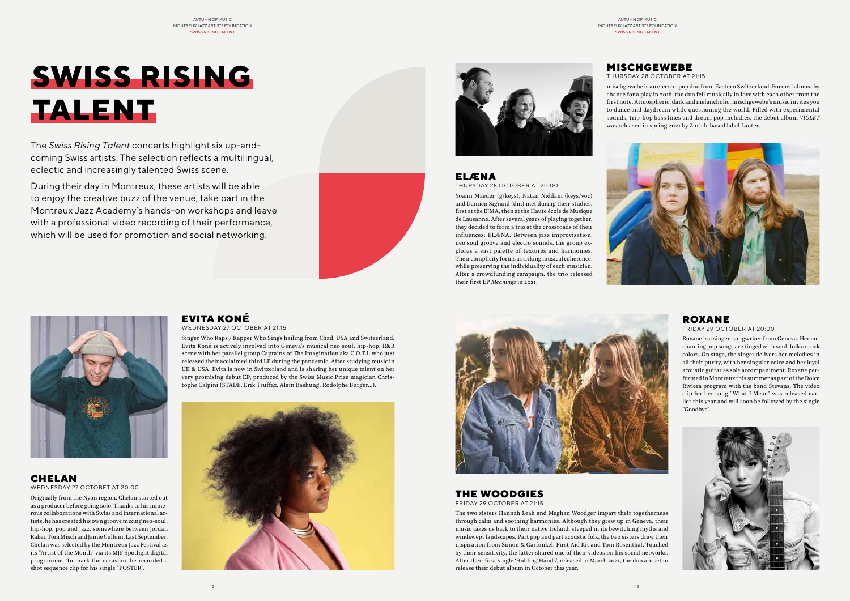**SWISS RISING** 

**TALENT**

The *Swiss Rising Talent* concerts highlight six up-and-

coming Swiss artists. The selection reflects a multilingual,

eclectic and increasingly talented Swiss scene.

During their day in Montreux, these artists will be able to enjoy the creative buzz of the venue, take part in the Montreux Jazz Academy's hands-on workshops and leave with a professional video recording of their performance, which will be used for promotion and social networking.

ELÆNA

THURSDAY 28 OCTOBER AT 20:00

Yoann Maeder (g/keys), Natan Niddam (keys/voc) and Damien Sigrand (dm) met during their studies, first at the EJMA, then at the Haute école de Musique de Lausanne. After several years of playing together, they decided to form a trio at the crossroads of their influences: ELÆNA. Between jazz improvisation, neo soul groove and electro sounds, the group explores a vast palette of textures and harmonies. Their complicity forms a striking musical coherence, while preserving the individuality of each musician. After a crowdfunding campaign, the trio released

their first EP *Meanings* in 2021.

# MISCHGEWEBE

THURSDAY 28 OCTOBER AT 21:15 mischgewebe is an electro-pop duo from Eastern Switzerland. Formed almost by chance for a play in 2018, the duo fell musically in love with each other from the first note. Atmospheric, dark and melancholic, mischgewebe's music invites you to dance and daydream while questioning the world. Filled with experimental sounds, trip-hop bass lines and dream pop melodies, the debut album *VIOLET* was released in spring 2021 by Zurich-based label Lauter.





### CHELAN WEDNESDAY 27 OCTOBET AT 20:00

Originally from the Nyon region, Chelan started out as a producer before going solo. Thanks to his numerous collaborations with Swiss and international artists, he has created his own groove mixing neo-soul, hip-hop, pop and jazz, somewhere between Jordan Rakei, Tom Misch and Jamie Cullum. Last September, Chelan was selected by the Montreux Jazz Festival as its "Artist of the Month" via its MJF Spotlight digital programme. To mark the occasion, he recorded a shot sequence clip for his single "POSTER".

# EVITA KONÉ

WEDNESDAY 27 OCTOBER AT 21:15

Singer Who Raps / Rapper Who Sings hailing from Chad, USA and Switzerland, Evita Koné is actively involved into Geneva's musical neo soul, hip-hop, R&B scene with her parallel group Captains of The Imagination aka C.O.T.I. who just released their acclaimed third LP during the pandemic. After studying music in UK & USA, Evita is now in Switzerland and is sharing her unique talent on her very promising debut EP, produced by the Swiss Music Prize magician Christophe Calpini (STADE, Erik Truffaz, Alain Bashung, Rodolphe Burger…).





# ROXANE

#### FRIDAY 29 OCTOBER AT 20:00

Roxane is a singer-songwriter from Geneva. Her enchanting pop songs are tinged with soul, folk or rock colors. On stage, the singer delivers her melodies in all their purity, with her singular voice and her loyal acoustic guitar as sole accompaniment. Roxane performed in Montreux this summer as part of the Dolce Riviera program with the band Stevans. The video clip for her song "What I Mean" was released earlier this year and will soon be followed by the single "Goodbye".



# THE WOODGIES

FRIDAY 29 OCTOBER AT 21:15

The two sisters Hannah Leah and Meghan Woodger impart their togetherness through calm and soothing harmonies. Although they grew up in Geneva, their music takes us back to their native Ireland, steeped in its bewitching myths and windswept landscapes. Part pop and part acoustic folk, the two sisters draw their inspiration from Simon & Garfunkel, First Aid Kit and Tom Rosenthal. Touched by their sensitivity, the latter shared one of their videos on his social networks. After their first single 'Holding Hands', released in March 2021, the duo are set to release their debut album in October this year.

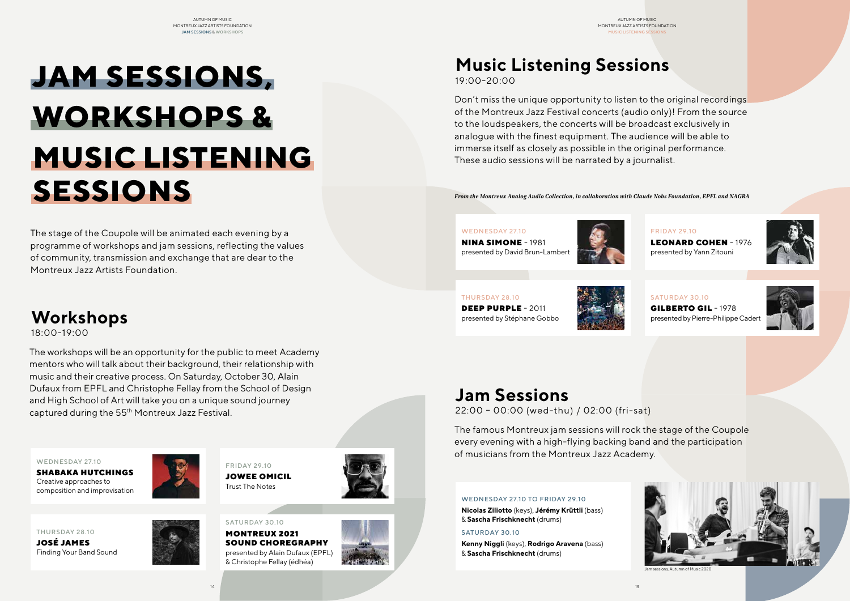

Jam sessions, Autumn of Music 2020

The stage of the Coupole will be animated each evening by a programme of workshops and jam sessions, reflecting the values of community, transmission and exchange that are dear to the Montreux Jazz Artists Foundation.

The workshops will be an opportunity for the public to meet Academy mentors who will talk about their background, their relationship with music and their creative process. On Saturday, October 30, Alain Dufaux from EPFL and Christophe Fellay from the School of Design and High School of Art will take you on a unique sound journey captured during the 55th Montreux Jazz Festival.

Don't miss the unique opportunity to listen to the original recordings of the Montreux Jazz Festival concerts (audio only)! From the source to the loudspeakers, the concerts will be broadcast exclusively in analogue with the finest equipment. The audience will be able to immerse itself as closely as possible in the original performance. These audio sessions will be narrated by a journalist.

The famous Montreux jam sessions will rock the stage of the Coupole every evening with a high-flying backing band and the participation of musicians from the Montreux Jazz Academy.

# **Workshops**

18:00-19:00

# **Music Listening Sessions** 19:00-20:00

# **MUSIC LISTENING SESSIONS JAM SESSIONS, WORKSHOPS &**

# **Jam Sessions**

22:00 – 00:00 (wed-thu) / 02:00 (fri-sat)

WEDNESDAY 27.10

SHABAKA HUTCHINGS Creative approaches to composition and improvisation

#### WEDNESDAY 27.10

NINA SIMONE - 1981 presented by David Brun-Lambert



## WEDNESDAY 27.10 TO FRIDAY 29.10

**Nicolas Ziliotto** (keys), **Jérémy Krüttli** (bass) & **Sascha Frischknecht** (drums)

## SATURDAY 30.10

**Kenny Niggli** (keys), **Rodrigo Aravena** (bass) & **Sascha Frischknecht** (drums)



FRIDAY 29.10 JOWEE OMICIL Trust The Notes



FRIDAY 29.10 LEONARD COHEN - 1976 presented by Yann Zitouni





JOSÉ JAMES Finding Your Band Sound

# THURSDAY 28.10

DEEP PURPLE - 2011 presented by Stéphane Gobbo



SATURDAY 30.10

MONTREUX 2021 SOUND CHOREGRAPHY presented by Alain Dufaux (EPFL) & Christophe Fellay (édhéa)



SATURDAY 30.10 GILBERTO GIL - 1978 presented by Pierre-Philippe Cadert



*From the Montreux Analog Audio Collection, in collaboration with Claude Nobs Foundation, EPFL and NAGRA*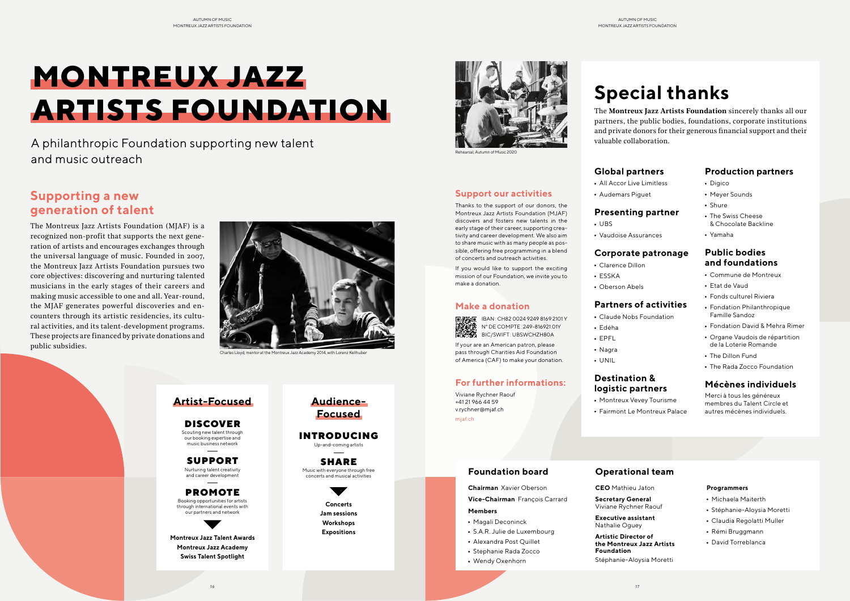# **Support our activities**

Thanks to the support of our donors, the Montreux Jazz Artists Foundation (MJAF) discovers and fosters new talents in the early stage of their career, supporting creativity and career development. We also aim to share music with as many people as possible, offering free programming in a blend of concerts and outreach activities.

**IMAGE IBAN: CH82 0024 9249 8169 2101 Y** N° DE COMPTE: 249-816921.01Y BIC/SWIFT: UBSWCHZH80A

If you would like to support the exciting mission of our Foundation, we invite you to make a donation.

### **Make a donation**

If your are an American patron, please pass through Charities Aid Foundation of America (CAF) to make your donation.

## **For further informations:**

Viviane Rychner Raouf +41 21 966 44 59 v.rychner@mjaf.ch [mjaf.ch](https://www.mjaf.ch/)

Charles Lloyd, mentor at the Montreux Jazz Academy 2014, with Lorenz Kellhuber

# **Supporting a new generation of talent**

The Montreux Jazz Artists Foundation (MJAF) is a recognized non-profit that supports the next generation of artists and encourages exchanges through the universal language of music. Founded in 2007, the Montreux Jazz Artists Foundation pursues two core objectives: discovering and nurturing talented musicians in the early stages of their careers and making music accessible to one and all. Year-round, the MJAF generates powerful discoveries and encounters through its artistic residencies, its cultural activities, and its talent-development programs. These projects are financed by private donations and public subsidies.



# **MONTREUX JAZZ ARTISTS FOUNDATION**

A philanthropic Foundation supporting new talent and music outreach

# **Special thanks**

- Digico
- Meyer Sounds
- Shure
- The Swiss Cheese & Chocolate Backline
- Yamaha

The **Montreux Jazz Artists Foundation** sincerely thanks all our partners, the public bodies, foundations, corporate institutions and private donors for their generous financial support and their valuable collaboration.

## **Foundation board**

**Chairman** Xavier Oberson **Vice-Chairman** François Carrard **Members**

# Magali Deconinck

- S.A.R. Julie de Luxembourg
- Alexandra Post Quillet
- Stephanie Rada Zocco
- Wendy Oxenhorn
- 

# **Operational team**

**CEO** Mathieu Jaton

**Secretary General**

Viviane Rychner Raouf **Executive assistant**

Nathalie Oguey **Artistic Director of the Montreux Jazz Artists Foundation**

Stéphanie-Aloysia Moretti

#### **Programmers**

- Michaela Maiterth
- Stéphanie-Aloysia Moretti
- Claudia Regolatti Muller
- Rémi Bruggmann
- David Torreblanca



**Audience-Focused**

INTRODUCING Up-and-coming artists

SHARE Music with everyone through free concerts and musical activities

> **Concerts Jam sessions Workshops Expositions**

## DISCOVER

Scouting new talent through our booking expertise and music business network

SUPPORT Nurturing talent creativity and career development

#### PROMOTE Booking opportunities for artists

through international events with our partners and network



**Montreux Jazz Talent Awards Montreux Jazz Academy Swiss Talent Spotlight**

# **Artist-Focused**

# **Global partners**

- All Accor Live Limitless
- Audemars Piguet

## **Presenting partner**

- UBS
- 

Vaudoise Assurances

# **Corporate patronage**

- Clarence Dillon ESSKA
	-
	- Oberson Abels

# **Partners of activities**

- Claude Nobs Foundation
	- Edéha
	- EPFL
	- Nagra
	- UNIL

# **Destination & logistic partners**

- Montreux Vevey Tourisme
- 

Fairmont Le Montreux Palace

# **Production partners**

# **Public bodies and foundations**

- Commune de Montreux
- Etat de Vaud
- Fonds culturel Riviera
- Fondation Philanthropique Famille Sandoz
- Fondation David & Mehra Rimer
- Organe Vaudois de répartition de la Loterie Romande
- The Dillon Fund
- The Rada Zocco Foundation

# **Mécènes individuels**

Merci à tous les généreux membres du Talent Circle et autres mécènes individuels.

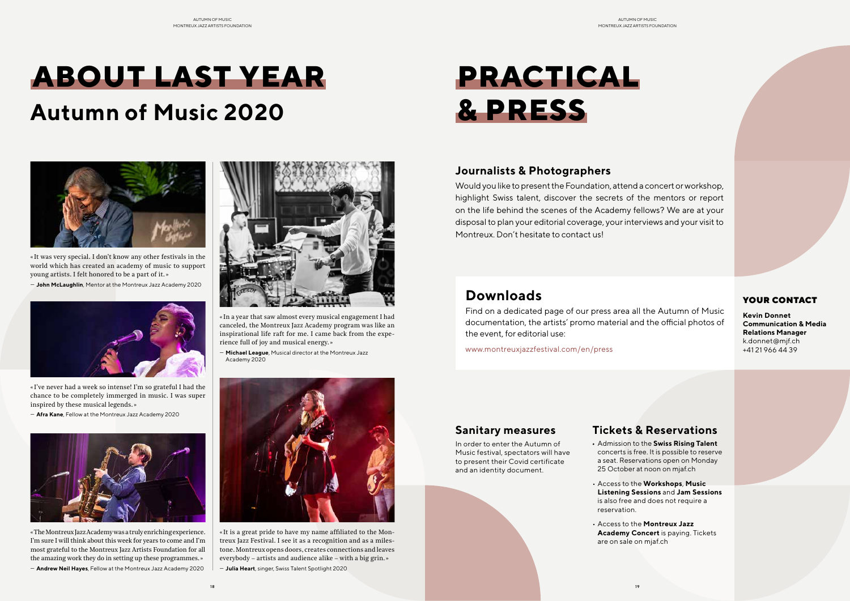# **PRACTICAL & PRESS**

# YOUR CONTACT

**Kevin Donnet Communication & Media Relations Manager** k.donnet@mjf.ch +41 21 966 44 39

# **Journalists & Photographers**

Would you like to present the Foundation, attend a concert or workshop, highlight Swiss talent, discover the secrets of the mentors or report on the life behind the scenes of the Academy fellows? We are at your disposal to plan your editorial coverage, your interviews and your visit to Montreux. Don't hesitate to contact us!

# **Downloads**

Find on a dedicated page of our press area all the Autumn of Music documentation, the artists' promo material and the official photos of the event, for editorial use:

[www.montreuxjazzfestival.com/en/press](https://www.montreuxjazzfestival.com/en/press/)

# **Tickets & Reservations**

Admission to the **Swiss Rising Talent** concerts is free. It is possible to reserve a seat. Reservations open on Monday 25 October at noon on mjaf.ch

• Access to the **Workshops**, **Music Listening Sessions** and **Jam Sessions** is also free and does not require a

• Access to the **Montreux Jazz Academy Concert** is paying. Tickets

- 
- reservation.
- are on sale on mjaf.ch

# **Sanitary measures**

In order to enter the Autumn of Music festival, spectators will have to present their Covid certificate and an identity document.

# **ABOUT LAST YEAR**

# **Autumn of Music 2020**



« It was very special. I don't know any other festivals in the world which has created an academy of music to support young artists. I felt honored to be a part of it. »

— **John McLaughlin**, Mentor at the Montreux Jazz Academy 2020



« In a year that saw almost every musical engagement I had canceled, the Montreux Jazz Academy program was like an inspirational life raft for me. I came back from the experience full of joy and musical energy. »

— **Michael League**, Musical director at the Montreux Jazz Academy 2020



« I've never had a week so intense! I'm so grateful I had the chance to be completely immerged in music. I was super inspired by these musical legends. »

— **Afra Kane**, Fellow at the Montreux Jazz Academy 2020



« It is a great pride to have my name affiliated to the Montreux Jazz Festival. I see it as a recognition and as a milestone. Montreux opens doors, creates connections and leaves everybody – artists and audience alike – with a big grin. »

— **Julia Heart**, singer, Swiss Talent Spotlight 2020

«The Montreux Jazz Academy was a truly enriching experience. I'm sure I will think about this week for years to come and I'm most grateful to the Montreux Jazz Artists Foundation for all the amazing work they do in setting up these programmes.»

— **Andrew Neil Hayes**, Fellow at the Montreux Jazz Academy 2020